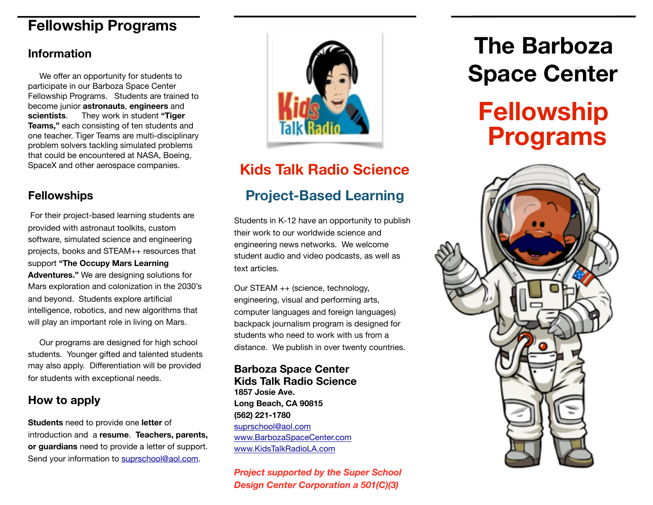## **Fellowship Programs**

### **Information**

 We offer an opportunity for students to participate in our Barboza Space Center Fellowship Programs. Students are trained to become junior **astronauts**, **engineers** and **scientists**. They work in student **"Tiger Teams,"** each consisting of ten students and one teacher. Tiger Teams are multi-disciplinary problem solvers tackling simulated problems that could be encountered at NASA, Boeing, SpaceX and other aerospace companies.

### **Fellowships**

 For their project-based learning students are provided with astronaut toolkits, custom software, simulated science and engineering projects, books and STEAM++ resources that support **"The Occupy Mars Learning Adventures."** We are designing solutions for Mars exploration and colonization in the 2030's and beyond. Students explore artificial intelligence, robotics, and new algorithms that will play an important role in living on Mars.

 Our programs are designed for high school students. Younger gifted and talented students may also apply. Differentiation will be provided for students with exceptional needs.

### **How to apply**

**Students** need to provide one **letter** of introduction and a **resume**. **Teachers, parents, or guardians** need to provide a letter of support. Send your information to [suprschool@aol.com.](mailto:suprschool@aol.com)



## **Kids Talk Radio Science**

## **Project-Based Learning**

Students in K-12 have an opportunity to publish their work to our worldwide science and engineering news networks. We welcome student audio and video podcasts, as well as text articles.

Our STEAM ++ (science, technology, engineering, visual and performing arts, computer languages and foreign languages) backpack journalism program is designed for students who need to work with us from a distance. We publish in over twenty countries.

### **Barboza Space Center Kids Talk Radio Science**

**1857 Josie Ave. Long Beach, CA 90815 (562) 221-1780**  [suprschool@aol.com](mailto:suprschool@aol.com) [www.BarbozaSpaceCenter.com](http://www.barbozaspacecenter.com) [www.KidsTalkRadioLA.com](http://www.kidstalkradiola.com)

*Project supported by the Super School Design Center Corporation a 501(C)(3)*

# **The Barboza Space Center Fellowship Programs**